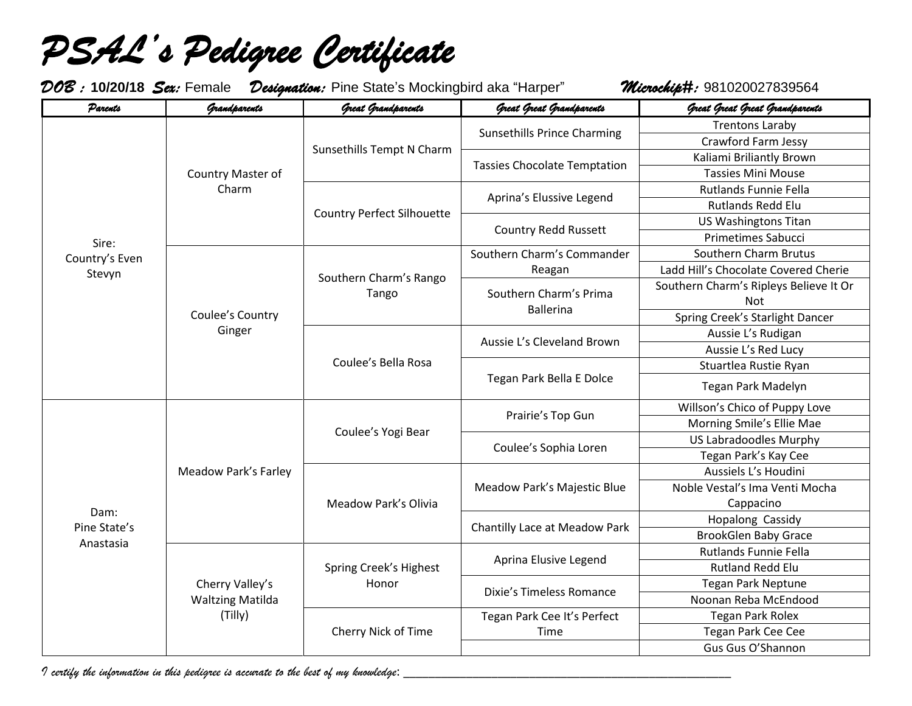*PSAL's Pedigree Certificate* 

*DOB :* **10/20/18** *Sex:* Female *Designation:* Pine State's Mockingbird aka "Harper" *Microchip#:* 981020027839564

| Parents                           | Grandparents                                          | Great Grandparents                | Great Great Grandparents                                                                                                                                                          | Great Great Great Grandparents                |
|-----------------------------------|-------------------------------------------------------|-----------------------------------|-----------------------------------------------------------------------------------------------------------------------------------------------------------------------------------|-----------------------------------------------|
| Sire:<br>Country's Even<br>Stevyn | Country Master of<br>Charm                            | Sunsethills Tempt N Charm         | <b>Sunsethills Prince Charming</b>                                                                                                                                                | <b>Trentons Laraby</b>                        |
|                                   |                                                       |                                   |                                                                                                                                                                                   | <b>Crawford Farm Jessy</b>                    |
|                                   |                                                       |                                   | <b>Tassies Chocolate Temptation</b>                                                                                                                                               | Kaliami Briliantly Brown                      |
|                                   |                                                       |                                   |                                                                                                                                                                                   | <b>Tassies Mini Mouse</b>                     |
|                                   |                                                       | <b>Country Perfect Silhouette</b> | Aprina's Elussive Legend                                                                                                                                                          | Rutlands Funnie Fella                         |
|                                   |                                                       |                                   |                                                                                                                                                                                   | <b>Rutlands Redd Elu</b>                      |
|                                   |                                                       |                                   | <b>Country Redd Russett</b>                                                                                                                                                       | <b>US Washingtons Titan</b>                   |
|                                   |                                                       |                                   |                                                                                                                                                                                   | <b>Primetimes Sabucci</b>                     |
|                                   | Coulee's Country<br>Ginger                            | Southern Charm's Rango<br>Tango   | Southern Charm's Commander                                                                                                                                                        | Southern Charm Brutus                         |
|                                   |                                                       |                                   | Reagan                                                                                                                                                                            | Ladd Hill's Chocolate Covered Cherie          |
|                                   |                                                       |                                   | Southern Charm's Prima<br><b>Ballerina</b>                                                                                                                                        | Southern Charm's Ripleys Believe It Or<br>Not |
|                                   |                                                       |                                   |                                                                                                                                                                                   | Spring Creek's Starlight Dancer               |
|                                   |                                                       | Coulee's Bella Rosa               | Aussie L's Cleveland Brown                                                                                                                                                        | Aussie L's Rudigan                            |
|                                   |                                                       |                                   |                                                                                                                                                                                   | Aussie L's Red Lucy                           |
|                                   |                                                       |                                   | Tegan Park Bella E Dolce                                                                                                                                                          | Stuartlea Rustie Ryan                         |
|                                   |                                                       |                                   |                                                                                                                                                                                   | Tegan Park Madelyn                            |
|                                   |                                                       | Coulee's Yogi Bear                | Prairie's Top Gun                                                                                                                                                                 | Willson's Chico of Puppy Love                 |
|                                   |                                                       |                                   |                                                                                                                                                                                   | Morning Smile's Ellie Mae                     |
|                                   |                                                       |                                   | Coulee's Sophia Loren<br>Meadow Park's Majestic Blue<br>Chantilly Lace at Meadow Park<br>Aprina Elusive Legend<br>Dixie's Timeless Romance<br>Tegan Park Cee It's Perfect<br>Time | <b>US Labradoodles Murphy</b>                 |
|                                   |                                                       |                                   |                                                                                                                                                                                   | Tegan Park's Kay Cee                          |
|                                   | <b>Meadow Park's Farley</b>                           |                                   |                                                                                                                                                                                   | Aussiels L's Houdini                          |
|                                   |                                                       | Meadow Park's Olivia              |                                                                                                                                                                                   | Noble Vestal's Ima Venti Mocha                |
| Dam:                              |                                                       |                                   |                                                                                                                                                                                   | Cappacino                                     |
| Pine State's                      |                                                       |                                   |                                                                                                                                                                                   | Hopalong Cassidy                              |
| Anastasia                         |                                                       |                                   |                                                                                                                                                                                   | <b>BrookGlen Baby Grace</b>                   |
|                                   | Cherry Valley's<br><b>Waltzing Matilda</b><br>(Tilly) | Spring Creek's Highest<br>Honor   |                                                                                                                                                                                   | Rutlands Funnie Fella                         |
|                                   |                                                       |                                   |                                                                                                                                                                                   | <b>Rutland Redd Elu</b>                       |
|                                   |                                                       |                                   |                                                                                                                                                                                   | <b>Tegan Park Neptune</b>                     |
|                                   |                                                       |                                   |                                                                                                                                                                                   | Noonan Reba McEndood                          |
|                                   |                                                       | Cherry Nick of Time               |                                                                                                                                                                                   | <b>Tegan Park Rolex</b>                       |
|                                   |                                                       |                                   |                                                                                                                                                                                   | Tegan Park Cee Cee                            |
|                                   |                                                       |                                   |                                                                                                                                                                                   | Gus Gus O'Shannon                             |

*I certify the information in this pedigree is accurate to the best of my knowledge*: \_\_\_\_\_\_\_\_\_\_\_\_\_\_\_\_\_\_\_\_\_\_\_\_\_\_\_\_\_\_\_\_\_\_\_\_\_\_\_\_\_\_\_\_\_\_\_\_\_\_\_\_